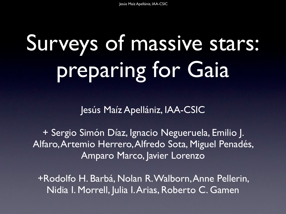# Surveys of massive stars: preparing for Gaia

Jesús Maíz Apellániz, IAA-CSIC

+ Sergio Simón Díaz, Ignacio Negueruela, Emilio J. Alfaro, Artemio Herrero, Alfredo Sota, Miguel Penadés, Amparo Marco, Javier Lorenzo

+Rodolfo H. Barbá, Nolan R. Walborn, Anne Pellerin, Nidia I. Morrell, Julia I. Arias, Roberto C. Gamen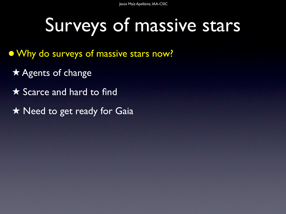Jesús Maíz Apellániz, IAA-CSIC

#### Surveys of massive stars

- Why do surveys of massive stars now?
	- ★ Agents of change
	- ★ Scarce and hard to find
	- **★ Need to get ready for Gaia**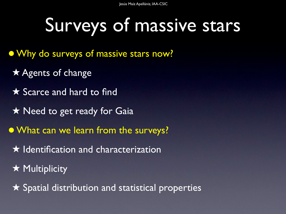## Surveys of massive stars

- Why do surveys of massive stars now?
- ★ Agents of change
- ★ Scarce and hard to find
- **★ Need to get ready for Gaia**
- What can we learn from the surveys?
	- ★ Identification and characterization
	- **★ Multiplicity**
	- ★ Spatial distribution and statistical properties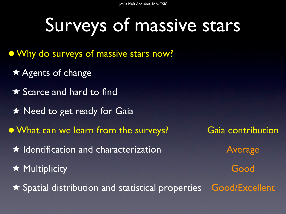Jesús Maíz Apellániz, IAA-CSIC

## Surveys of massive stars

- Why do surveys of massive stars now?
- ★ Agents of change
- ★ Scarce and hard to find
- **★ Need to get ready for Gaia**
- What can we learn from the surveys? Gaia contribution
	- $\star$  Identification and characterization  $\star$  Average
	- ★ Multiplicity Good
	- ★ Spatial distribution and statistical properties Good/Excellent